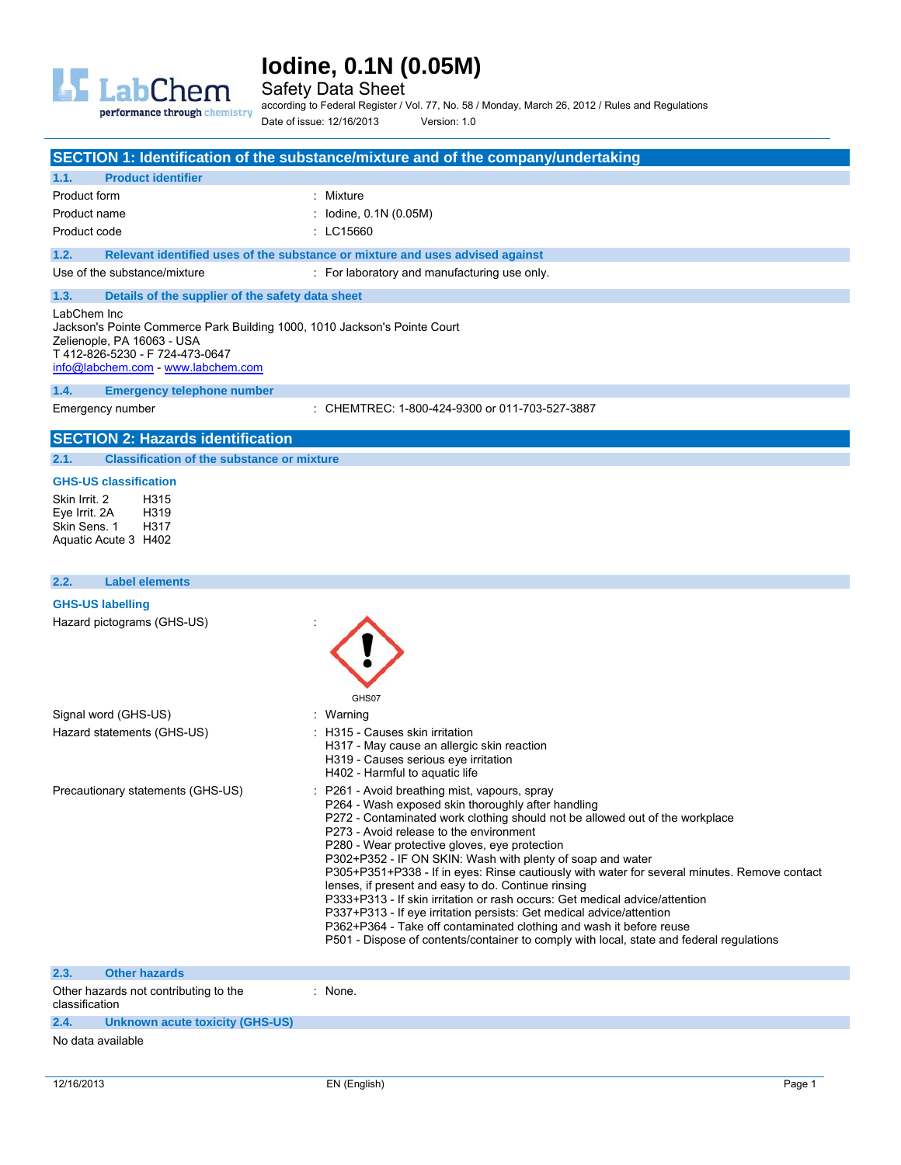

Safety Data Sheet

performance through chemistry

according to Federal Register / Vol. 77, No. 58 / Monday, March 26, 2012 / Rules and Regulations Date of issue: 12/16/2013 Version: 1.0

|                                                                                                                                                                                               | SECTION 1: Identification of the substance/mixture and of the company/undertaking |
|-----------------------------------------------------------------------------------------------------------------------------------------------------------------------------------------------|-----------------------------------------------------------------------------------|
| <b>Product identifier</b><br>1.1.                                                                                                                                                             |                                                                                   |
| Product form                                                                                                                                                                                  | : Mixture                                                                         |
| Product name                                                                                                                                                                                  | : $Iodine, 0.1N (0.05M)$                                                          |
| Product code                                                                                                                                                                                  | $\pm$ LC15660                                                                     |
| 1.2.                                                                                                                                                                                          | Relevant identified uses of the substance or mixture and uses advised against     |
| Use of the substance/mixture                                                                                                                                                                  | : For laboratory and manufacturing use only.                                      |
| 1.3.<br>Details of the supplier of the safety data sheet                                                                                                                                      |                                                                                   |
| LabChem Inc<br>Jackson's Pointe Commerce Park Building 1000, 1010 Jackson's Pointe Court<br>Zelienople, PA 16063 - USA<br>T412-826-5230 - F724-473-0647<br>info@labchem.com - www.labchem.com |                                                                                   |
| <b>Emergency telephone number</b><br>1.4.                                                                                                                                                     |                                                                                   |
| Emergency number                                                                                                                                                                              | : CHEMTREC: 1-800-424-9300 or 011-703-527-3887                                    |
| <b>SECTION 2: Hazards identification</b>                                                                                                                                                      |                                                                                   |
| <b>Classification of the substance or mixture</b><br>2.1.                                                                                                                                     |                                                                                   |

### **GHS-US classification**

Skin Irrit. 2 H315<br>Eve Irrit. 2A H319 Eye Irrit. 2A H319<br>Skin Sens. 1 H317 Skin Sens. 1 Aquatic Acute 3 H402

## **2.2. Label elements**

## **GHS-US labelling**

Hazard pictograms (GHS-US) in the state of the state of the state of the state of the state of the state of the state of the state of the state of the state of the state of the state of the state of the state of the state

|                                   | GHS07                                                                                                                                                                                                                                                                                                                                                                                                                                                                                                                                                                                                                                                                                                                                                                                                                          |
|-----------------------------------|--------------------------------------------------------------------------------------------------------------------------------------------------------------------------------------------------------------------------------------------------------------------------------------------------------------------------------------------------------------------------------------------------------------------------------------------------------------------------------------------------------------------------------------------------------------------------------------------------------------------------------------------------------------------------------------------------------------------------------------------------------------------------------------------------------------------------------|
| Signal word (GHS-US)              | : Warning                                                                                                                                                                                                                                                                                                                                                                                                                                                                                                                                                                                                                                                                                                                                                                                                                      |
| Hazard statements (GHS-US)        | : H315 - Causes skin irritation<br>H317 - May cause an allergic skin reaction<br>H319 - Causes serious eye irritation<br>H402 - Harmful to aguatic life                                                                                                                                                                                                                                                                                                                                                                                                                                                                                                                                                                                                                                                                        |
| Precautionary statements (GHS-US) | : P261 - Avoid breathing mist, vapours, spray<br>P264 - Wash exposed skin thoroughly after handling<br>P272 - Contaminated work clothing should not be allowed out of the workplace<br>P273 - Avoid release to the environment<br>P280 - Wear protective gloves, eye protection<br>P302+P352 - IF ON SKIN: Wash with plenty of soap and water<br>P305+P351+P338 - If in eyes: Rinse cautiously with water for several minutes. Remove contact<br>lenses, if present and easy to do. Continue rinsing<br>P333+P313 - If skin irritation or rash occurs: Get medical advice/attention<br>P337+P313 - If eye irritation persists: Get medical advice/attention<br>P362+P364 - Take off contaminated clothing and wash it before reuse<br>P501 - Dispose of contents/container to comply with local, state and federal regulations |
| 2.3.<br><b>Other hazards</b>      |                                                                                                                                                                                                                                                                                                                                                                                                                                                                                                                                                                                                                                                                                                                                                                                                                                |

| classification | _______________________<br>Other hazards not contributing to the | None. |
|----------------|------------------------------------------------------------------|-------|
| 2.4.           | Unknown acute toxicity (GHS-US)                                  |       |
| .              |                                                                  |       |

#### No data available

ㅅ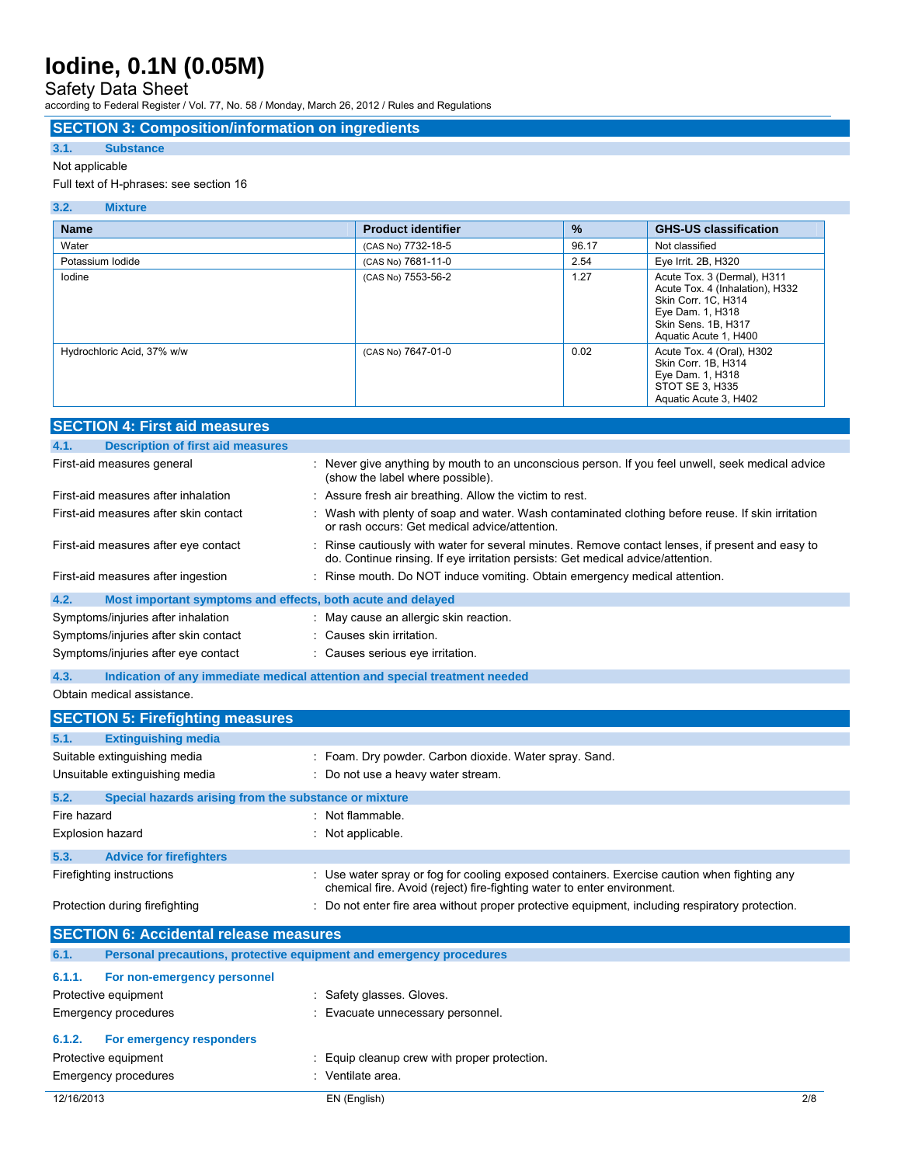## Safety Data Sheet

according to Federal Register / Vol. 77, No. 58 / Monday, March 26, 2012 / Rules and Regulations

### **SECTION 3: Composition/information on ingredients**

## **3.1. Substance**

### Not applicable

### Full text of H-phrases: see section 16

| <b>Name</b>                | <b>Product identifier</b> | $\frac{9}{6}$ | <b>GHS-US classification</b>                                                                                                                              |
|----------------------------|---------------------------|---------------|-----------------------------------------------------------------------------------------------------------------------------------------------------------|
| Water                      | (CAS No) 7732-18-5        | 96.17         | Not classified                                                                                                                                            |
| Potassium lodide           | (CAS No) 7681-11-0        | 2.54          | Eye Irrit. 2B, H320                                                                                                                                       |
| lodine                     | (CAS No) 7553-56-2        | 1.27          | Acute Tox. 3 (Dermal), H311<br>Acute Tox. 4 (Inhalation), H332<br>Skin Corr. 1C, H314<br>Eye Dam. 1, H318<br>Skin Sens. 1B, H317<br>Aquatic Acute 1, H400 |
| Hydrochloric Acid, 37% w/w | (CAS No) 7647-01-0        | 0.02          | Acute Tox. 4 (Oral), H302<br>Skin Corr. 1B, H314<br>Eye Dam. 1, H318<br>STOT SE 3, H335<br>Aquatic Acute 3, H402                                          |

|             | <b>JEUTIUN 4. FIISI diu IlledSuleS</b>                                     |                                                                                                                                                                                   |
|-------------|----------------------------------------------------------------------------|-----------------------------------------------------------------------------------------------------------------------------------------------------------------------------------|
| 4.1.        | <b>Description of first aid measures</b>                                   |                                                                                                                                                                                   |
|             | First-aid measures general                                                 | : Never give anything by mouth to an unconscious person. If you feel unwell, seek medical advice<br>(show the label where possible).                                              |
|             | First-aid measures after inhalation                                        | : Assure fresh air breathing. Allow the victim to rest.                                                                                                                           |
|             | First-aid measures after skin contact                                      | Wash with plenty of soap and water. Wash contaminated clothing before reuse. If skin irritation<br>or rash occurs: Get medical advice/attention.                                  |
|             | First-aid measures after eye contact                                       | Rinse cautiously with water for several minutes. Remove contact lenses, if present and easy to<br>do. Continue rinsing. If eye irritation persists: Get medical advice/attention. |
|             | First-aid measures after ingestion                                         | : Rinse mouth. Do NOT induce vomiting. Obtain emergency medical attention.                                                                                                        |
| 4.2.        | Most important symptoms and effects, both acute and delayed                |                                                                                                                                                                                   |
|             | Symptoms/injuries after inhalation                                         | : May cause an allergic skin reaction.                                                                                                                                            |
|             | Symptoms/injuries after skin contact                                       | : Causes skin irritation.                                                                                                                                                         |
|             | Symptoms/injuries after eye contact                                        | : Causes serious eye irritation.                                                                                                                                                  |
| 4.3.        | Indication of any immediate medical attention and special treatment needed |                                                                                                                                                                                   |
|             | Obtain medical assistance.                                                 |                                                                                                                                                                                   |
|             | <b>SECTION 5: Firefighting measures</b>                                    |                                                                                                                                                                                   |
| 5.1.        | <b>Extinguishing media</b>                                                 |                                                                                                                                                                                   |
|             | Suitable extinguishing media                                               | : Foam. Dry powder. Carbon dioxide. Water spray. Sand.                                                                                                                            |
|             | Unsuitable extinguishing media                                             | : Do not use a heavy water stream.                                                                                                                                                |
| 5.2.        | Special hazards arising from the substance or mixture                      |                                                                                                                                                                                   |
| Fire hazard |                                                                            | : Not flammable.                                                                                                                                                                  |
|             | <b>Explosion hazard</b>                                                    | : Not applicable.                                                                                                                                                                 |
| 5.3.        | <b>Advice for firefighters</b>                                             |                                                                                                                                                                                   |
|             | Firefighting instructions                                                  | : Use water spray or fog for cooling exposed containers. Exercise caution when fighting any<br>chemical fire. Avoid (reject) fire-fighting water to enter environment.            |
|             | Protection during firefighting                                             | : Do not enter fire area without proper protective equipment, including respiratory protection.                                                                                   |
|             | <b>SECTION 6: Accidental release measures</b>                              |                                                                                                                                                                                   |
| 6.1.        | Personal precautions, protective equipment and emergency procedures        |                                                                                                                                                                                   |

| b.1.       | Personal precautions, protective equipment and emergency procedures |                                              |     |
|------------|---------------------------------------------------------------------|----------------------------------------------|-----|
| 6.1.1.     | For non-emergency personnel<br>Protective equipment                 | : Safety glasses. Gloves.                    |     |
|            | Emergency procedures                                                | : Evacuate unnecessary personnel.            |     |
| 6.1.2.     | For emergency responders                                            |                                              |     |
|            | Protective equipment                                                | : Equip cleanup crew with proper protection. |     |
|            | Emergency procedures                                                | : Ventilate area.                            |     |
| 12/16/2013 |                                                                     | EN (English)                                 | 2/8 |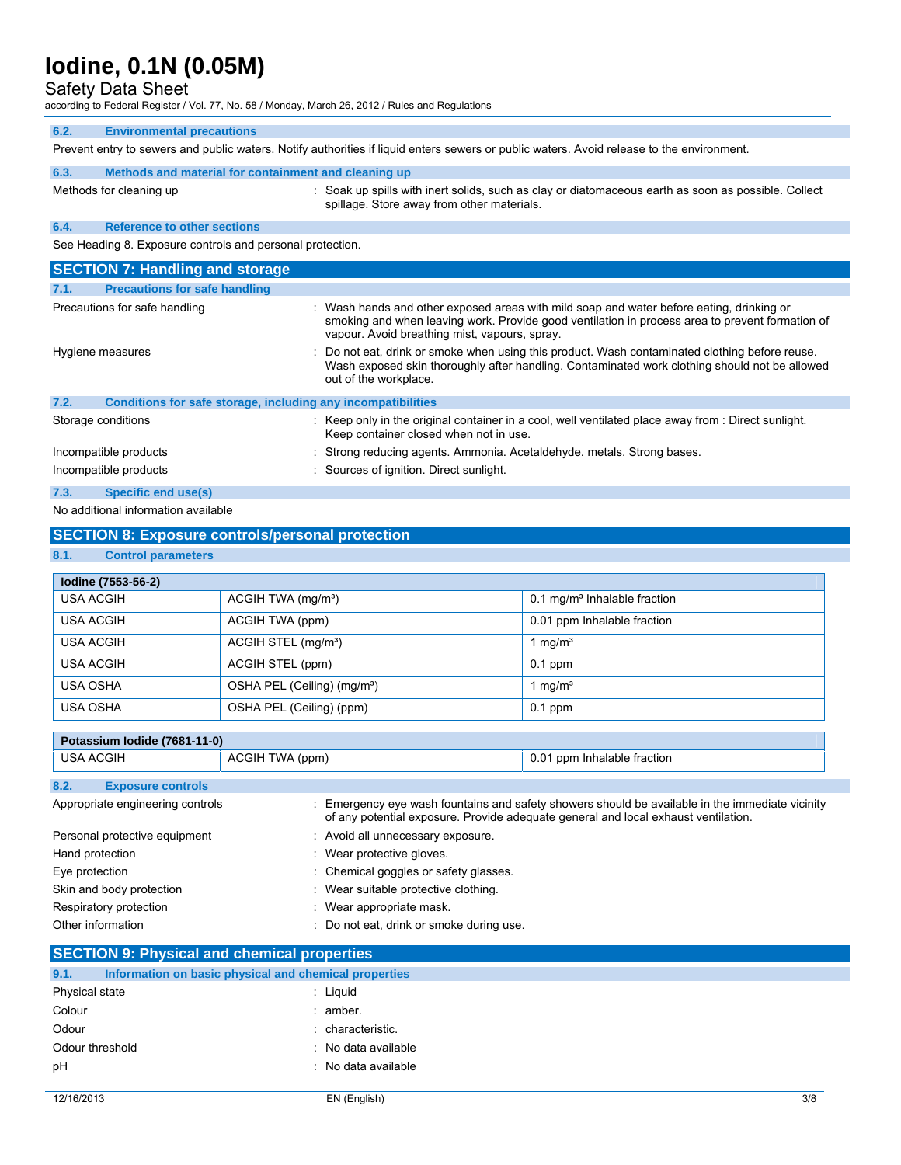Safety Data Sheet

according to Federal Register / Vol. 77, No. 58 / Monday, March 26, 2012 / Rules and Regulations

| 6.2. | <b>Environmental precautions</b> |  |
|------|----------------------------------|--|
|      |                                  |  |

Prevent entry to sewers and public waters. Notify authorities if liquid enters sewers or public waters. Avoid release to the environment.

| 6.3. | Methods and material for containment and cleaning up |                                                                                                                                                 |  |
|------|------------------------------------------------------|-------------------------------------------------------------------------------------------------------------------------------------------------|--|
|      | Methods for cleaning up                              | Soak up spills with inert solids, such as clay or diatomaceous earth as soon as possible. Collect<br>spillage. Store away from other materials. |  |
| 6.4. | <b>Reference to other sections</b>                   |                                                                                                                                                 |  |

See Heading 8. Exposure controls and personal protection.

| <b>SECTION 7: Handling and storage</b>                               |                                                                                                                                                                                                                                              |  |  |  |
|----------------------------------------------------------------------|----------------------------------------------------------------------------------------------------------------------------------------------------------------------------------------------------------------------------------------------|--|--|--|
| <b>Precautions for safe handling</b><br>7.1.                         |                                                                                                                                                                                                                                              |  |  |  |
| Precautions for safe handling                                        | : Wash hands and other exposed areas with mild soap and water before eating, drinking or<br>smoking and when leaving work. Provide good ventilation in process area to prevent formation of<br>vapour. Avoid breathing mist, vapours, spray. |  |  |  |
| Hygiene measures                                                     | : Do not eat, drink or smoke when using this product. Wash contaminated clothing before reuse.<br>Wash exposed skin thoroughly after handling. Contaminated work clothing should not be allowed<br>out of the workplace.                     |  |  |  |
| 7.2.<br>Conditions for safe storage, including any incompatibilities |                                                                                                                                                                                                                                              |  |  |  |
| Storage conditions                                                   | $\therefore$ Keep only in the original container in a cool, well ventilated place away from $\therefore$ Direct sunlight.<br>Keep container closed when not in use.                                                                          |  |  |  |
| Incompatible products                                                | : Strong reducing agents. Ammonia. Acetaldehyde. metals. Strong bases.                                                                                                                                                                       |  |  |  |
| Incompatible products                                                | : Sources of ignition. Direct sunlight.                                                                                                                                                                                                      |  |  |  |
| 7.3.<br>Specific end use(s)                                          |                                                                                                                                                                                                                                              |  |  |  |

No additional information available

## **SECTION 8: Exposure controls/personal protection**

### **8.1. Control parameters**

| lodine (7553-56-2) |                                         |                                          |  |
|--------------------|-----------------------------------------|------------------------------------------|--|
| USA ACGIH          | ACGIH TWA $(mg/m3)$                     | 0.1 mg/m <sup>3</sup> Inhalable fraction |  |
| USA ACGIH          | ACGIH TWA (ppm)                         | 0.01 ppm Inhalable fraction              |  |
| <b>USA ACGIH</b>   | ACGIH STEL (mg/m <sup>3</sup> )         | 1 mg/ $m3$                               |  |
| USA ACGIH          | ACGIH STEL (ppm)                        | $0.1$ ppm                                |  |
| <b>USA OSHA</b>    | OSHA PEL (Ceiling) (mg/m <sup>3</sup> ) | 1 mg/ $m3$                               |  |
| <b>USA OSHA</b>    | OSHA PEL (Ceiling) (ppm)                | $0.1$ ppm                                |  |

| Potassium Iodide (7681-11-0)     |                                          |                                                                                                                                                                                     |  |
|----------------------------------|------------------------------------------|-------------------------------------------------------------------------------------------------------------------------------------------------------------------------------------|--|
| <b>USA ACGIH</b>                 | ACGIH TWA (ppm)                          | 0.01 ppm Inhalable fraction                                                                                                                                                         |  |
| 8.2.<br><b>Exposure controls</b> |                                          |                                                                                                                                                                                     |  |
|                                  |                                          |                                                                                                                                                                                     |  |
| Appropriate engineering controls |                                          | Emergency eye wash fountains and safety showers should be available in the immediate vicinity<br>of any potential exposure. Provide adequate general and local exhaust ventilation. |  |
| Personal protective equipment    | : Avoid all unnecessary exposure.        |                                                                                                                                                                                     |  |
| Hand protection                  | : Wear protective gloves.                |                                                                                                                                                                                     |  |
| Eye protection                   | : Chemical goggles or safety glasses.    |                                                                                                                                                                                     |  |
| Skin and body protection         | : Wear suitable protective clothing.     |                                                                                                                                                                                     |  |
| Respiratory protection           | Wear appropriate mask.                   |                                                                                                                                                                                     |  |
| Other information                | : Do not eat, drink or smoke during use. |                                                                                                                                                                                     |  |
|                                  |                                          |                                                                                                                                                                                     |  |

## **SECTION 9: Physical and chemical properties**

| 9.1.            | Information on basic physical and chemical properties |                     |
|-----------------|-------------------------------------------------------|---------------------|
| Physical state  |                                                       | : Liauid            |
| Colour          |                                                       | : amber.            |
| Odour           |                                                       | : characteristic.   |
| Odour threshold |                                                       | : No data available |
| pH              |                                                       | : No data available |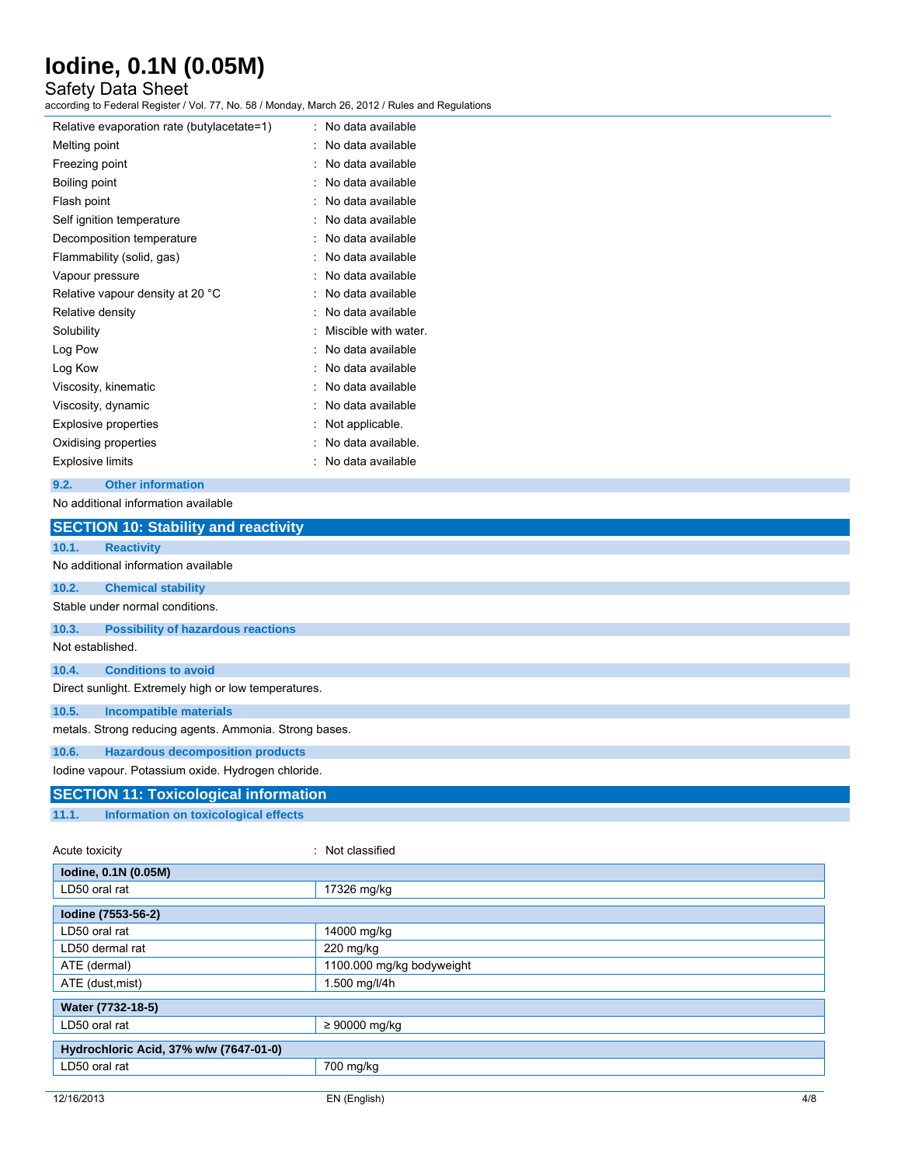## Safety Data Sheet

according to Federal Register / Vol. 77, No. 58 / Monday, March 26, 2012 / Rules and Regulations

| No data available    |
|----------------------|
| No data available    |
| No data available    |
| No data available    |
| No data available    |
| No data available    |
| No data available    |
| No data available    |
| No data available    |
| No data available    |
| No data available    |
| Miscible with water. |
| No data available    |
| No data available    |
| No data available    |
| No data available    |
| Not applicable.      |
| No data available.   |
| No data available    |
|                      |

## **9.2. Other information**

### No additional information available

|                                                    | <b>SECTION 10: Stability and reactivity</b>            |                  |  |
|----------------------------------------------------|--------------------------------------------------------|------------------|--|
| 10.1.                                              | <b>Reactivity</b>                                      |                  |  |
|                                                    | No additional information available                    |                  |  |
| 10.2.                                              | <b>Chemical stability</b>                              |                  |  |
|                                                    | Stable under normal conditions.                        |                  |  |
| 10.3.                                              | <b>Possibility of hazardous reactions</b>              |                  |  |
| Not established.                                   |                                                        |                  |  |
| 10.4.                                              | <b>Conditions to avoid</b>                             |                  |  |
|                                                    | Direct sunlight. Extremely high or low temperatures.   |                  |  |
| 10.5.                                              | <b>Incompatible materials</b>                          |                  |  |
|                                                    | metals. Strong reducing agents. Ammonia. Strong bases. |                  |  |
| 10.6.                                              | <b>Hazardous decomposition products</b>                |                  |  |
| lodine vapour. Potassium oxide. Hydrogen chloride. |                                                        |                  |  |
|                                                    | <b>SECTION 11: Toxicological information</b>           |                  |  |
| 11.1.                                              | Information on toxicological effects                   |                  |  |
| Acute toxicity                                     |                                                        | : Not classified |  |
|                                                    | lodine, 0.1N (0.05M)                                   |                  |  |
|                                                    | LD50 oral rat<br>17326 mg/kg                           |                  |  |
|                                                    | lodine (7553-56-2)                                     |                  |  |

|                                        | ັບ ບ                      |
|----------------------------------------|---------------------------|
|                                        |                           |
| lodine (7553-56-2)                     |                           |
| LD50 oral rat                          | 14000 mg/kg               |
| LD50 dermal rat                        | $220$ mg/kg               |
| ATE (dermal)                           | 1100.000 mg/kg bodyweight |
| ATE (dust, mist)                       | 1.500 mg/l/4h             |
|                                        |                           |
| Water (7732-18-5)                      |                           |
| LD50 oral rat                          | $\geq 90000$ mg/kg        |
|                                        |                           |
| Hydrochloric Acid, 37% w/w (7647-01-0) |                           |
| LD50 oral rat                          | 700 mg/kg                 |
|                                        |                           |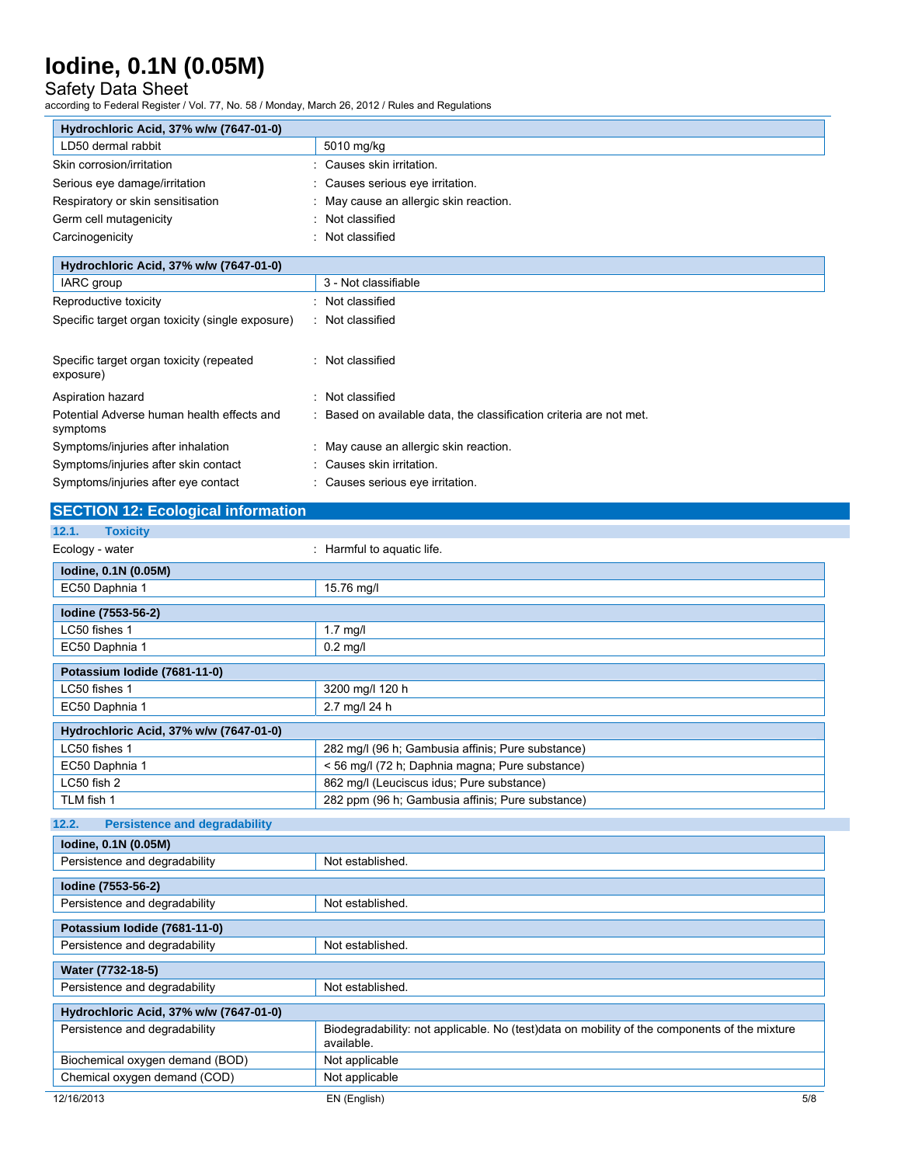## Safety Data Sheet

according to Federal Register / Vol. 77, No. 58 / Monday, March 26, 2012 / Rules and Regulations

| Hydrochloric Acid, 37% w/w (7647-01-0)                |                                        |
|-------------------------------------------------------|----------------------------------------|
| LD50 dermal rabbit                                    | 5010 mg/kg                             |
| Skin corrosion/irritation                             | : Causes skin irritation.              |
| Serious eye damage/irritation                         | : Causes serious eve irritation.       |
| Respiratory or skin sensitisation                     | : May cause an allergic skin reaction. |
| Germ cell mutagenicity                                | Not classified<br>٠                    |
| Carcinogenicity                                       | Not classified<br>٠                    |
| Hydrochloric Acid, 37% w/w (7647-01-0)                |                                        |
| IARC group                                            | 3 - Not classifiable                   |
| Reproductive toxicity                                 | Not classified<br>۰                    |
| Specific target organ toxicity (single exposure)      | : Not classified                       |
| Specific target organ toxicity (repeated<br>exposure) | Not classified<br>٠.                   |

| Aspiration hazard                                      | : Not classified                                                    |
|--------------------------------------------------------|---------------------------------------------------------------------|
| Potential Adverse human health effects and<br>symptoms | : Based on available data, the classification criteria are not met. |
| Symptoms/injuries after inhalation                     | : May cause an allergic skin reaction.                              |
| Symptoms/injuries after skin contact                   | : Causes skin irritation.                                           |
| Symptoms/injuries after eye contact                    | : Causes serious eve irritation.                                    |

## **SECTION 12: Ecological information**

| 12.1.<br><b>Toxicity</b>                      |                                                                                                            |
|-----------------------------------------------|------------------------------------------------------------------------------------------------------------|
| Ecology - water                               | : Harmful to aquatic life.                                                                                 |
| lodine, 0.1N (0.05M)                          |                                                                                                            |
| EC50 Daphnia 1                                | 15.76 mg/l                                                                                                 |
| Iodine (7553-56-2)                            |                                                                                                            |
| LC50 fishes 1                                 | $1.7$ mg/l                                                                                                 |
| EC50 Daphnia 1                                | $0.2$ mg/l                                                                                                 |
| Potassium Iodide (7681-11-0)                  |                                                                                                            |
| LC50 fishes 1                                 | 3200 mg/l 120 h                                                                                            |
| EC50 Daphnia 1                                | 2.7 mg/l 24 h                                                                                              |
| Hydrochloric Acid, 37% w/w (7647-01-0)        |                                                                                                            |
| LC50 fishes 1                                 | 282 mg/l (96 h; Gambusia affinis; Pure substance)                                                          |
| EC50 Daphnia 1                                | < 56 mg/l (72 h; Daphnia magna; Pure substance)                                                            |
| LC50 fish 2                                   | 862 mg/l (Leuciscus idus; Pure substance)                                                                  |
| TLM fish 1                                    | 282 ppm (96 h; Gambusia affinis; Pure substance)                                                           |
| <b>Persistence and degradability</b><br>12.2. |                                                                                                            |
| lodine, 0.1N (0.05M)                          |                                                                                                            |
| Persistence and degradability                 | Not established.                                                                                           |
| Iodine (7553-56-2)                            |                                                                                                            |
| Persistence and degradability                 | Not established.                                                                                           |
| Potassium Iodide (7681-11-0)                  |                                                                                                            |
| Persistence and degradability                 | Not established.                                                                                           |
| Water (7732-18-5)                             |                                                                                                            |
| Persistence and degradability                 | Not established.                                                                                           |
| Hydrochloric Acid, 37% w/w (7647-01-0)        |                                                                                                            |
| Persistence and degradability                 | Biodegradability: not applicable. No (test)data on mobility of the components of the mixture<br>available. |
| Biochemical oxygen demand (BOD)               | Not applicable                                                                                             |
| Chemical oxygen demand (COD)                  | Not applicable                                                                                             |
| 12/16/2013                                    | EN (English)<br>5/8                                                                                        |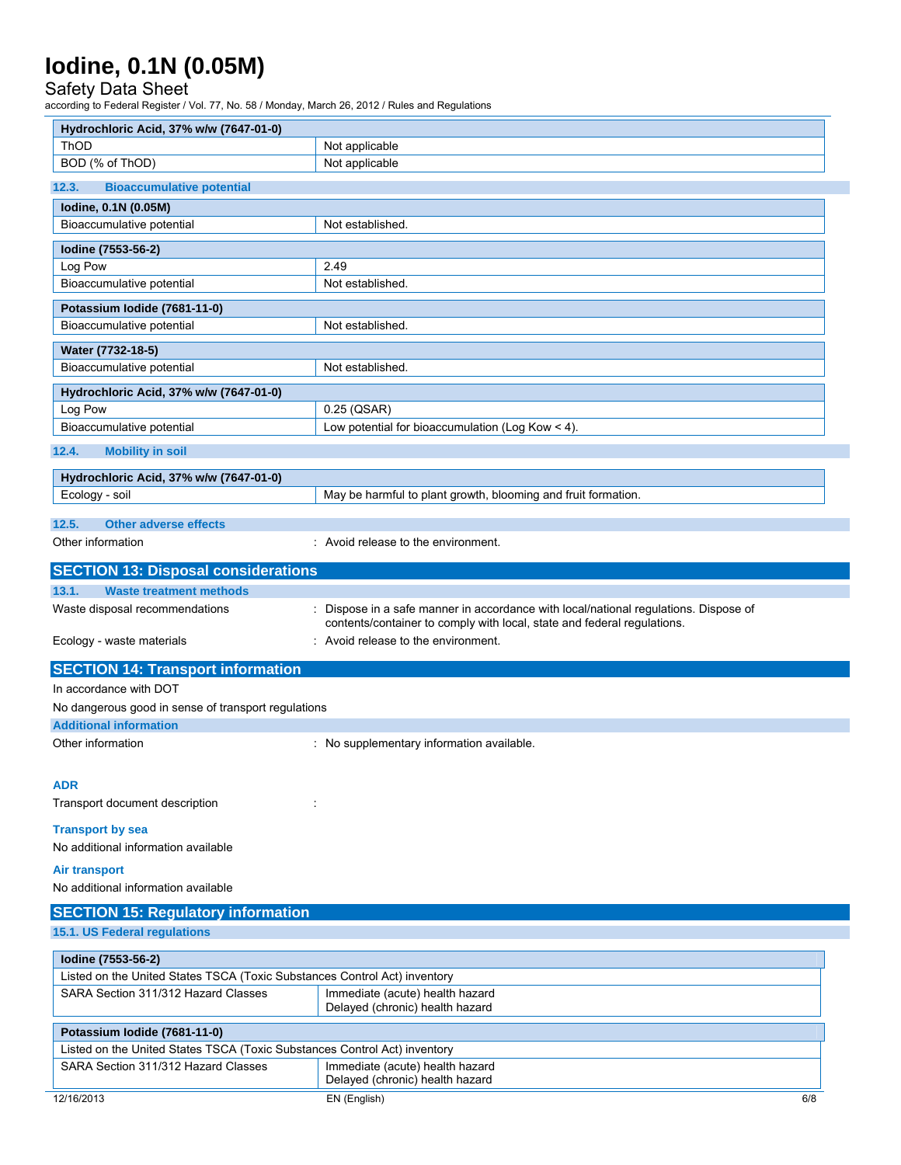## Safety Data Sheet

L.

according to Federal Register / Vol. 77, No. 58 / Monday, March 26, 2012 / Rules and Regulations

| Hydrochloric Acid, 37% w/w (7647-01-0)                                    |                                                                                                                                                               |     |
|---------------------------------------------------------------------------|---------------------------------------------------------------------------------------------------------------------------------------------------------------|-----|
| <b>ThOD</b>                                                               | Not applicable                                                                                                                                                |     |
| BOD (% of ThOD)                                                           | Not applicable                                                                                                                                                |     |
| <b>Bioaccumulative potential</b><br>12.3.                                 |                                                                                                                                                               |     |
| lodine, 0.1N (0.05M)                                                      |                                                                                                                                                               |     |
| Bioaccumulative potential                                                 | Not established.                                                                                                                                              |     |
| Iodine (7553-56-2)                                                        |                                                                                                                                                               |     |
| Log Pow                                                                   | 2.49                                                                                                                                                          |     |
| Bioaccumulative potential                                                 | Not established.                                                                                                                                              |     |
| Potassium Iodide (7681-11-0)                                              |                                                                                                                                                               |     |
| Bioaccumulative potential                                                 | Not established.                                                                                                                                              |     |
| Water (7732-18-5)                                                         |                                                                                                                                                               |     |
| Bioaccumulative potential                                                 | Not established.                                                                                                                                              |     |
|                                                                           |                                                                                                                                                               |     |
| Hydrochloric Acid, 37% w/w (7647-01-0)                                    |                                                                                                                                                               |     |
| Log Pow<br>Bioaccumulative potential                                      | $0.25$ (QSAR)<br>Low potential for bioaccumulation (Log Kow $<$ 4).                                                                                           |     |
|                                                                           |                                                                                                                                                               |     |
| 12.4.<br><b>Mobility in soil</b>                                          |                                                                                                                                                               |     |
| Hydrochloric Acid, 37% w/w (7647-01-0)                                    |                                                                                                                                                               |     |
| Ecology - soil                                                            | May be harmful to plant growth, blooming and fruit formation.                                                                                                 |     |
| 12.5.<br><b>Other adverse effects</b>                                     |                                                                                                                                                               |     |
| Other information                                                         | : Avoid release to the environment.                                                                                                                           |     |
|                                                                           |                                                                                                                                                               |     |
| <b>SECTION 13: Disposal considerations</b>                                |                                                                                                                                                               |     |
| 13.1.<br><b>Waste treatment methods</b>                                   |                                                                                                                                                               |     |
| Waste disposal recommendations                                            | Dispose in a safe manner in accordance with local/national regulations. Dispose of<br>contents/container to comply with local, state and federal regulations. |     |
| Ecology - waste materials                                                 | : Avoid release to the environment.                                                                                                                           |     |
| <b>SECTION 14: Transport information</b>                                  |                                                                                                                                                               |     |
| In accordance with DOT                                                    |                                                                                                                                                               |     |
| No dangerous good in sense of transport regulations                       |                                                                                                                                                               |     |
| <b>Additional information</b>                                             |                                                                                                                                                               |     |
| Other information                                                         | : No supplementary information available.                                                                                                                     |     |
|                                                                           |                                                                                                                                                               |     |
| <b>ADR</b>                                                                |                                                                                                                                                               |     |
| Transport document description                                            |                                                                                                                                                               |     |
| <b>Transport by sea</b>                                                   |                                                                                                                                                               |     |
| No additional information available                                       |                                                                                                                                                               |     |
|                                                                           |                                                                                                                                                               |     |
| <b>Air transport</b><br>No additional information available               |                                                                                                                                                               |     |
|                                                                           |                                                                                                                                                               |     |
| <b>SECTION 15: Regulatory information</b>                                 |                                                                                                                                                               |     |
| 15.1. US Federal regulations                                              |                                                                                                                                                               |     |
| Iodine (7553-56-2)                                                        |                                                                                                                                                               |     |
| Listed on the United States TSCA (Toxic Substances Control Act) inventory |                                                                                                                                                               |     |
| SARA Section 311/312 Hazard Classes                                       | Immediate (acute) health hazard                                                                                                                               |     |
|                                                                           | Delayed (chronic) health hazard                                                                                                                               |     |
| Potassium Iodide (7681-11-0)                                              |                                                                                                                                                               |     |
| Listed on the United States TSCA (Toxic Substances Control Act) inventory |                                                                                                                                                               |     |
| SARA Section 311/312 Hazard Classes                                       | Immediate (acute) health hazard                                                                                                                               |     |
|                                                                           | Delayed (chronic) health hazard                                                                                                                               |     |
| 12/16/2013                                                                | EN (English)                                                                                                                                                  | 6/8 |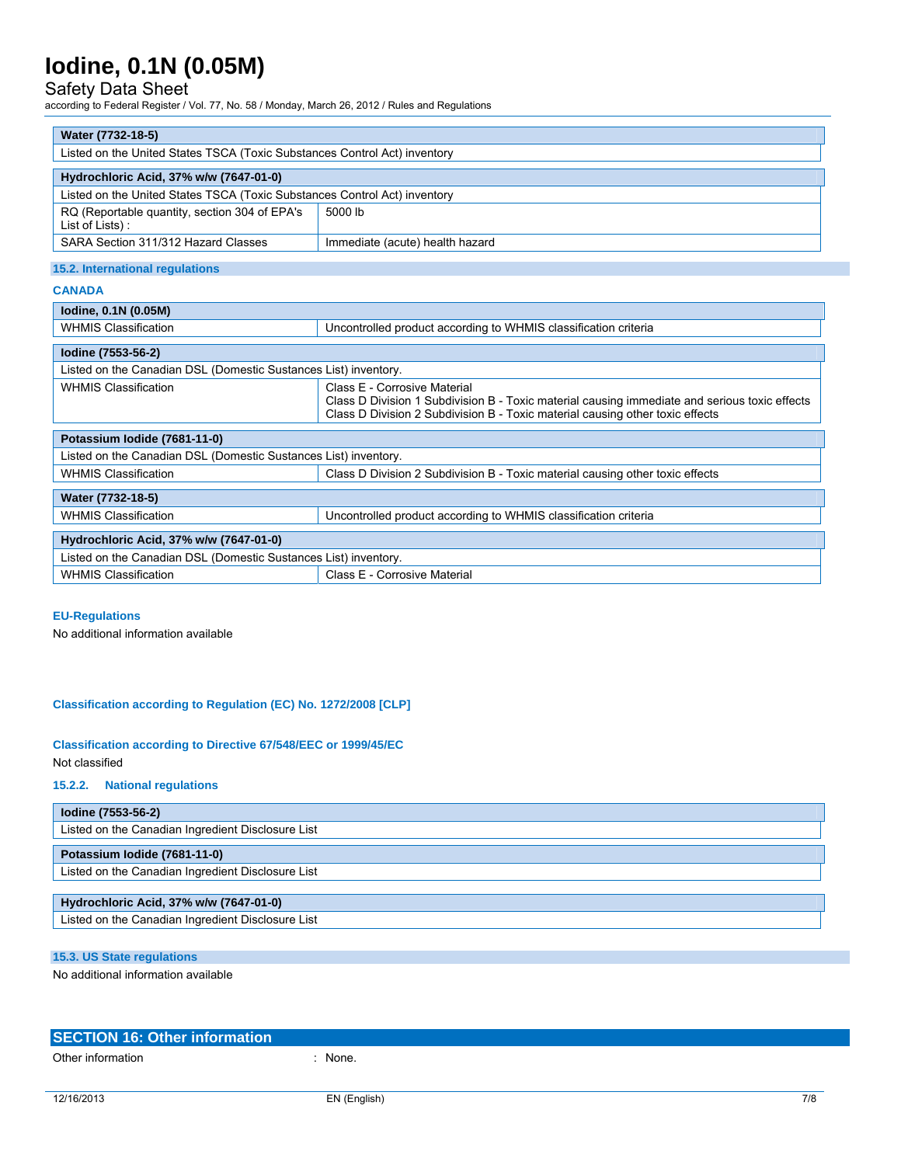## Safety Data Sheet

according to Federal Register / Vol. 77, No. 58 / Monday, March 26, 2012 / Rules and Regulations

| Water (7732-18-5)                                                         |                                 |  |
|---------------------------------------------------------------------------|---------------------------------|--|
| Listed on the United States TSCA (Toxic Substances Control Act) inventory |                                 |  |
| Hydrochloric Acid, 37% w/w (7647-01-0)                                    |                                 |  |
| Listed on the United States TSCA (Toxic Substances Control Act) inventory |                                 |  |
| RQ (Reportable quantity, section 304 of EPA's<br>List of Lists):          | 5000 lb                         |  |
| SARA Section 311/312 Hazard Classes                                       | Immediate (acute) health hazard |  |

### **15.2. International regulations**

### **CANADA**

| lodine, 0.1N (0.05M)                                            |                                                                                                                                                                                                                |  |
|-----------------------------------------------------------------|----------------------------------------------------------------------------------------------------------------------------------------------------------------------------------------------------------------|--|
| <b>WHMIS Classification</b>                                     | Uncontrolled product according to WHMIS classification criteria                                                                                                                                                |  |
| Iodine (7553-56-2)                                              |                                                                                                                                                                                                                |  |
| Listed on the Canadian DSL (Domestic Sustances List) inventory. |                                                                                                                                                                                                                |  |
| <b>WHMIS Classification</b>                                     | Class E - Corrosive Material<br>Class D Division 1 Subdivision B - Toxic material causing immediate and serious toxic effects<br>Class D Division 2 Subdivision B - Toxic material causing other toxic effects |  |
| Potassium Iodide (7681-11-0)                                    |                                                                                                                                                                                                                |  |
| Listed on the Canadian DSL (Domestic Sustances List) inventory. |                                                                                                                                                                                                                |  |
| <b>WHMIS Classification</b>                                     | Class D Division 2 Subdivision B - Toxic material causing other toxic effects                                                                                                                                  |  |
| Water (7732-18-5)                                               |                                                                                                                                                                                                                |  |
| <b>WHMIS Classification</b>                                     | Uncontrolled product according to WHMIS classification criteria                                                                                                                                                |  |
| Hydrochloric Acid, 37% w/w (7647-01-0)                          |                                                                                                                                                                                                                |  |
| Listed on the Canadian DSL (Domestic Sustances List) inventory. |                                                                                                                                                                                                                |  |
| <b>WHMIS Classification</b>                                     | Class E - Corrosive Material                                                                                                                                                                                   |  |
|                                                                 |                                                                                                                                                                                                                |  |

### **EU-Regulations**

No additional information available

### **Classification according to Regulation (EC) No. 1272/2008 [CLP]**

### **Classification according to Directive 67/548/EEC or 1999/45/EC**  Not classified

### **15.2.2. National regulations**

| lodine (7553-56-2)                                |
|---------------------------------------------------|
| Listed on the Canadian Ingredient Disclosure List |
| Potassium Iodide (7681-11-0)                      |
| Listed on the Canadian Ingredient Disclosure List |
|                                                   |
| Hydrochloric Acid, 37% w/w (7647-01-0)            |
| Listed on the Canadian Ingredient Disclosure List |

## **15.3. US State regulations**

No additional information available

| SECTION 16: Other information |  |
|-------------------------------|--|
|                               |  |